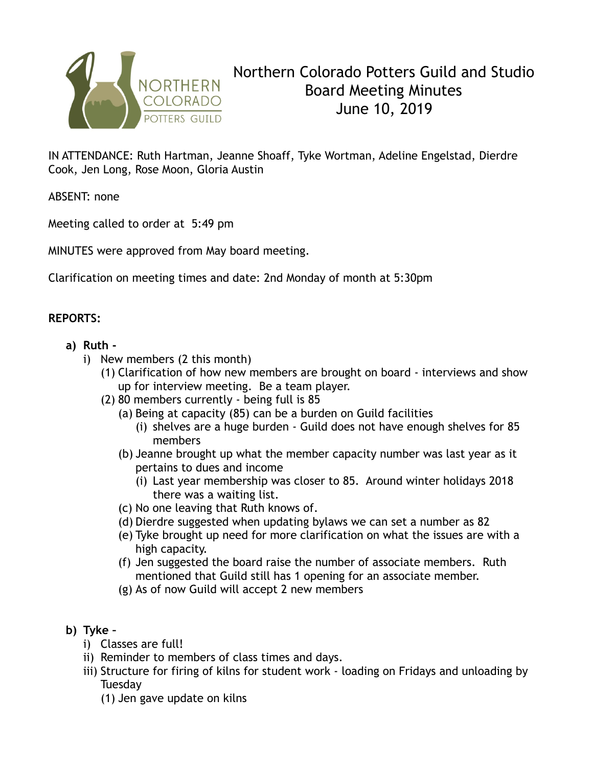

# Northern Colorado Potters Guild and Studio Board Meeting Minutes June 10, 2019

IN ATTENDANCE: Ruth Hartman, Jeanne Shoaff, Tyke Wortman, Adeline Engelstad, Dierdre Cook, Jen Long, Rose Moon, Gloria Austin

ABSENT: none

Meeting called to order at 5:49 pm

MINUTES were approved from May board meeting.

Clarification on meeting times and date: 2nd Monday of month at 5:30pm

#### **REPORTS:**

- **a) Ruth** 
	- i) New members (2 this month)
		- (1) Clarification of how new members are brought on board interviews and show up for interview meeting. Be a team player.
		- (2) 80 members currently being full is 85
			- (a) Being at capacity (85) can be a burden on Guild facilities
				- (i) shelves are a huge burden Guild does not have enough shelves for 85 members
			- (b) Jeanne brought up what the member capacity number was last year as it pertains to dues and income
				- (i) Last year membership was closer to 85. Around winter holidays 2018 there was a waiting list.
			- (c) No one leaving that Ruth knows of.
			- (d) Dierdre suggested when updating bylaws we can set a number as 82
			- (e) Tyke brought up need for more clarification on what the issues are with a high capacity.
			- (f) Jen suggested the board raise the number of associate members. Ruth mentioned that Guild still has 1 opening for an associate member.
			- (g) As of now Guild will accept 2 new members
- **b) Tyke** 
	- i) Classes are full!
	- ii) Reminder to members of class times and days.
	- iii) Structure for firing of kilns for student work loading on Fridays and unloading by **Tuesday** 
		- (1) Jen gave update on kilns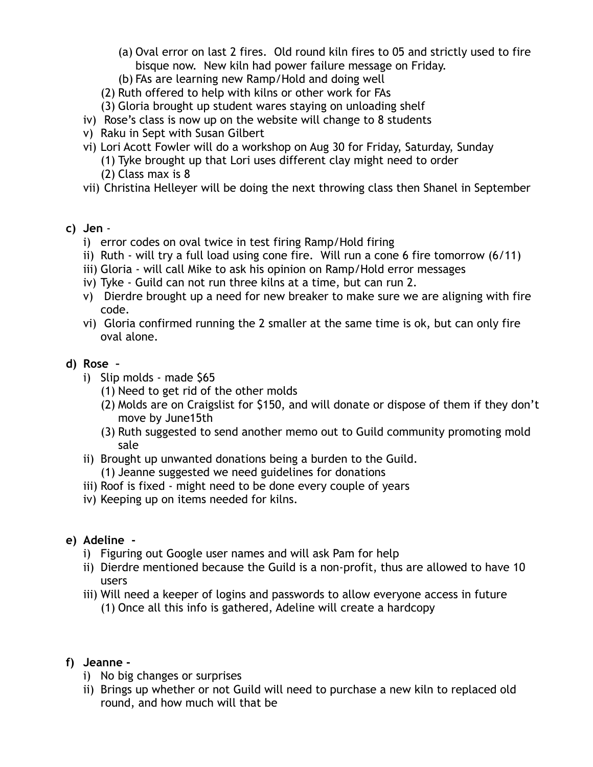- (a) Oval error on last 2 fires. Old round kiln fires to 05 and strictly used to fire bisque now. New kiln had power failure message on Friday.
- (b) FAs are learning new Ramp/Hold and doing well
- (2) Ruth offered to help with kilns or other work for FAs
- (3) Gloria brought up student wares staying on unloading shelf
- iv) Rose's class is now up on the website will change to 8 students
- v) Raku in Sept with Susan Gilbert
- vi) Lori Acott Fowler will do a workshop on Aug 30 for Friday, Saturday, Sunday
	- (1) Tyke brought up that Lori uses different clay might need to order
	- (2) Class max is 8
- vii) Christina Helleyer will be doing the next throwing class then Shanel in September

#### **c) Jen** -

- i) error codes on oval twice in test firing Ramp/Hold firing
- ii) Ruth will try a full load using cone fire. Will run a cone 6 fire tomorrow (6/11)
- iii) Gloria will call Mike to ask his opinion on Ramp/Hold error messages
- iv) Tyke Guild can not run three kilns at a time, but can run 2.
- v) Dierdre brought up a need for new breaker to make sure we are aligning with fire code.
- vi) Gloria confirmed running the 2 smaller at the same time is ok, but can only fire oval alone.

## **d) Rose –**

- i) Slip molds made \$65
	- (1) Need to get rid of the other molds
	- (2) Molds are on Craigslist for \$150, and will donate or dispose of them if they don't move by June15th
	- (3) Ruth suggested to send another memo out to Guild community promoting mold sale
- ii) Brought up unwanted donations being a burden to the Guild.
	- (1) Jeanne suggested we need guidelines for donations
- iii) Roof is fixed might need to be done every couple of years
- iv) Keeping up on items needed for kilns.

## **e) Adeline -**

- i) Figuring out Google user names and will ask Pam for help
- ii) Dierdre mentioned because the Guild is a non-profit, thus are allowed to have 10 users
- iii) Will need a keeper of logins and passwords to allow everyone access in future (1) Once all this info is gathered, Adeline will create a hardcopy

## **f) Jeanne -**

- i) No big changes or surprises
- ii) Brings up whether or not Guild will need to purchase a new kiln to replaced old round, and how much will that be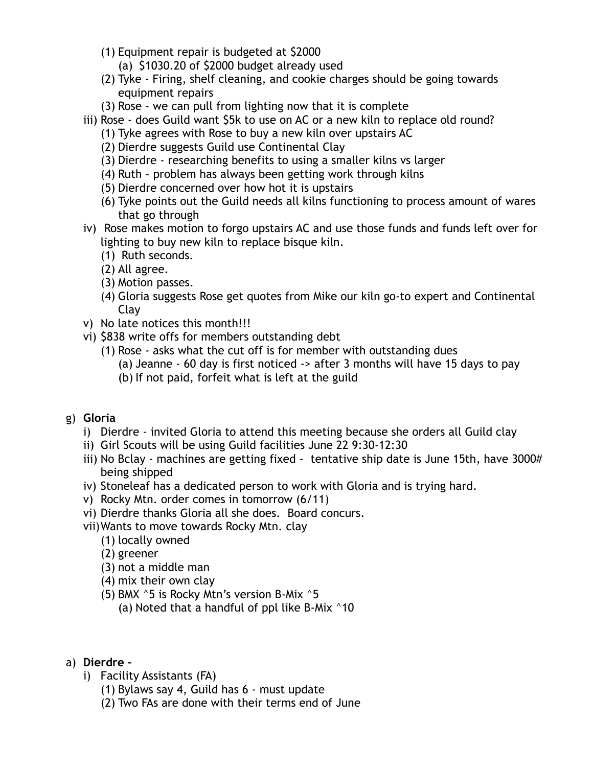- (1) Equipment repair is budgeted at \$2000
	- (a) \$1030.20 of \$2000 budget already used
- (2) Tyke Firing, shelf cleaning, and cookie charges should be going towards equipment repairs
- (3) Rose we can pull from lighting now that it is complete
- iii) Rose does Guild want \$5k to use on AC or a new kiln to replace old round?
	- (1) Tyke agrees with Rose to buy a new kiln over upstairs AC
	- (2) Dierdre suggests Guild use Continental Clay
	- (3) Dierdre researching benefits to using a smaller kilns vs larger
	- (4) Ruth problem has always been getting work through kilns
	- (5) Dierdre concerned over how hot it is upstairs
	- (6) Tyke points out the Guild needs all kilns functioning to process amount of wares that go through
- iv) Rose makes motion to forgo upstairs AC and use those funds and funds left over for lighting to buy new kiln to replace bisque kiln.
	- (1) Ruth seconds.
	- (2) All agree.
	- (3) Motion passes.
	- (4) Gloria suggests Rose get quotes from Mike our kiln go-to expert and Continental Clay
- v) No late notices this month!!!
- vi) \$838 write offs for members outstanding debt
	- (1) Rose asks what the cut off is for member with outstanding dues
		- (a) Jeanne 60 day is first noticed -> after 3 months will have 15 days to pay
		- (b) If not paid, forfeit what is left at the guild

## g) **Gloria**

- i) Dierdre invited Gloria to attend this meeting because she orders all Guild clay
- ii) Girl Scouts will be using Guild facilities June 22 9:30-12:30
- iii) No Bclay machines are getting fixed tentative ship date is June 15th, have 3000# being shipped
- iv) Stoneleaf has a dedicated person to work with Gloria and is trying hard.
- v) Rocky Mtn. order comes in tomorrow (6/11)
- vi) Dierdre thanks Gloria all she does. Board concurs.
- vii)Wants to move towards Rocky Mtn. clay
	- (1) locally owned
	- (2) greener
	- (3) not a middle man
	- (4) mix their own clay
	- (5) BMX ^5 is Rocky Mtn's version B-Mix ^5
		- (a) Noted that a handful of ppl like B-Mix ^10

## a) **Dierdre –**

- i) Facility Assistants (FA)
	- (1) Bylaws say 4, Guild has 6 must update
	- (2) Two FAs are done with their terms end of June